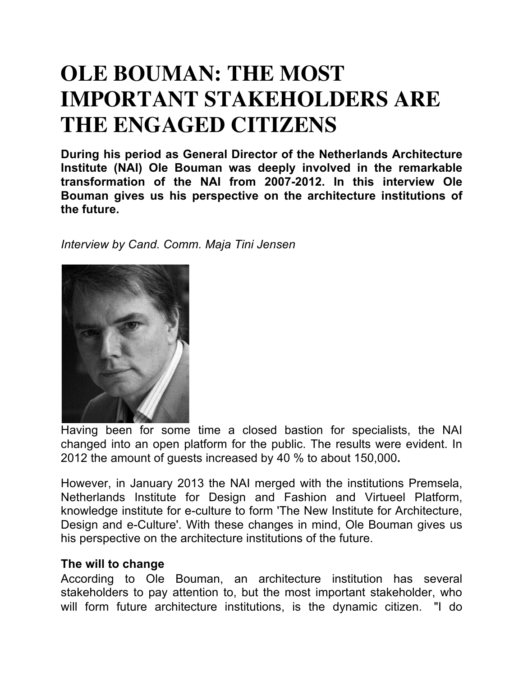# **OLE BOUMAN: THE MOST IMPORTANT STAKEHOLDERS ARE THE ENGAGED CITIZENS**

**During his period as General Director of the Netherlands Architecture Institute (NAI) Ole Bouman was deeply involved in the remarkable transformation of the NAI from 2007-2012. In this interview Ole Bouman gives us his perspective on the architecture institutions of the future.**

*Interview by Cand. Comm. Maja Tini Jensen*



Having been for some time a closed bastion for specialists, the NAI changed into an open platform for the public. The results were evident. In 2012 the amount of guests increased by 40 % to about 150,000**.**

However, in January 2013 the NAI merged with the institutions Premsela, Netherlands Institute for Design and Fashion and Virtueel Platform, knowledge institute for e-culture to form 'The New Institute for Architecture, Design and e-Culture'. With these changes in mind, Ole Bouman gives us his perspective on the architecture institutions of the future.

#### **The will to change**

According to Ole Bouman, an architecture institution has several stakeholders to pay attention to, but the most important stakeholder, who will form future architecture institutions, is the dynamic citizen. "I do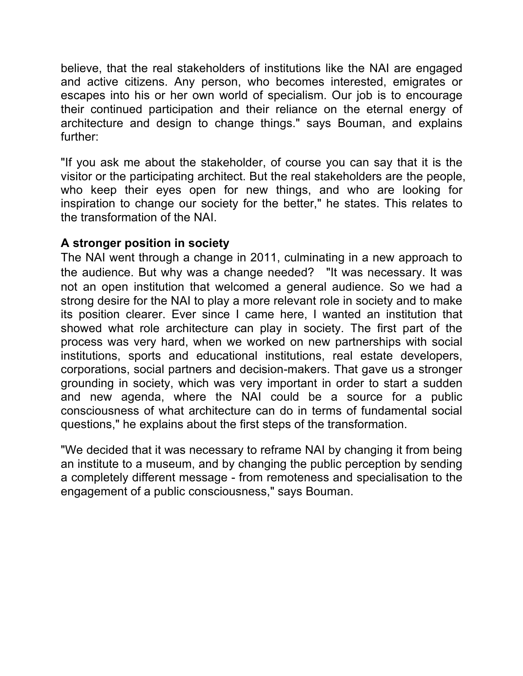believe, that the real stakeholders of institutions like the NAI are engaged and active citizens. Any person, who becomes interested, emigrates or escapes into his or her own world of specialism. Our job is to encourage their continued participation and their reliance on the eternal energy of architecture and design to change things." says Bouman, and explains further:

"If you ask me about the stakeholder, of course you can say that it is the visitor or the participating architect. But the real stakeholders are the people, who keep their eyes open for new things, and who are looking for inspiration to change our society for the better," he states. This relates to the transformation of the NAI.

## **A stronger position in society**

The NAI went through a change in 2011, culminating in a new approach to the audience. But why was a change needed? "It was necessary. It was not an open institution that welcomed a general audience. So we had a strong desire for the NAI to play a more relevant role in society and to make its position clearer. Ever since I came here, I wanted an institution that showed what role architecture can play in society. The first part of the process was very hard, when we worked on new partnerships with social institutions, sports and educational institutions, real estate developers, corporations, social partners and decision-makers. That gave us a stronger grounding in society, which was very important in order to start a sudden and new agenda, where the NAI could be a source for a public consciousness of what architecture can do in terms of fundamental social questions," he explains about the first steps of the transformation.

"We decided that it was necessary to reframe NAI by changing it from being an institute to a museum, and by changing the public perception by sending a completely different message - from remoteness and specialisation to the engagement of a public consciousness," says Bouman.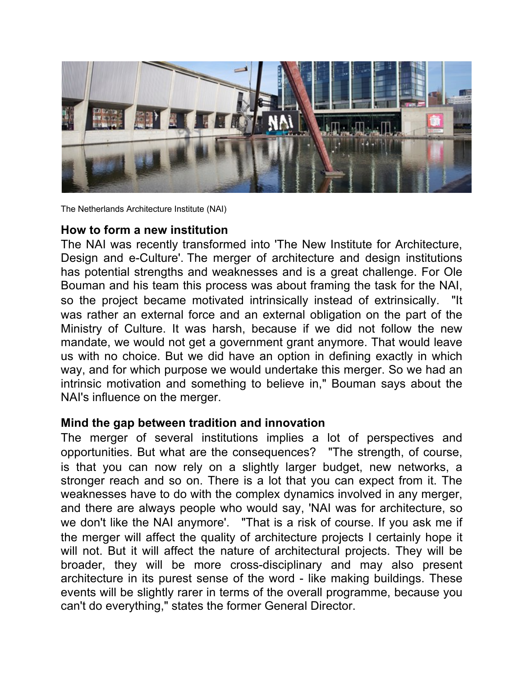

The Netherlands Architecture Institute (NAI)

#### **How to form a new institution**

The NAI was recently transformed into 'The New Institute for Architecture, Design and e-Culture'. The merger of architecture and design institutions has potential strengths and weaknesses and is a great challenge. For Ole Bouman and his team this process was about framing the task for the NAI, so the project became motivated intrinsically instead of extrinsically. "It was rather an external force and an external obligation on the part of the Ministry of Culture. It was harsh, because if we did not follow the new mandate, we would not get a government grant anymore. That would leave us with no choice. But we did have an option in defining exactly in which way, and for which purpose we would undertake this merger. So we had an intrinsic motivation and something to believe in," Bouman says about the NAI's influence on the merger.

#### **Mind the gap between tradition and innovation**

The merger of several institutions implies a lot of perspectives and opportunities. But what are the consequences? "The strength, of course, is that you can now rely on a slightly larger budget, new networks, a stronger reach and so on. There is a lot that you can expect from it. The weaknesses have to do with the complex dynamics involved in any merger, and there are always people who would say, 'NAI was for architecture, so we don't like the NAI anymore'. "That is a risk of course. If you ask me if the merger will affect the quality of architecture projects I certainly hope it will not. But it will affect the nature of architectural projects. They will be broader, they will be more cross-disciplinary and may also present architecture in its purest sense of the word - like making buildings. These events will be slightly rarer in terms of the overall programme, because you can't do everything," states the former General Director.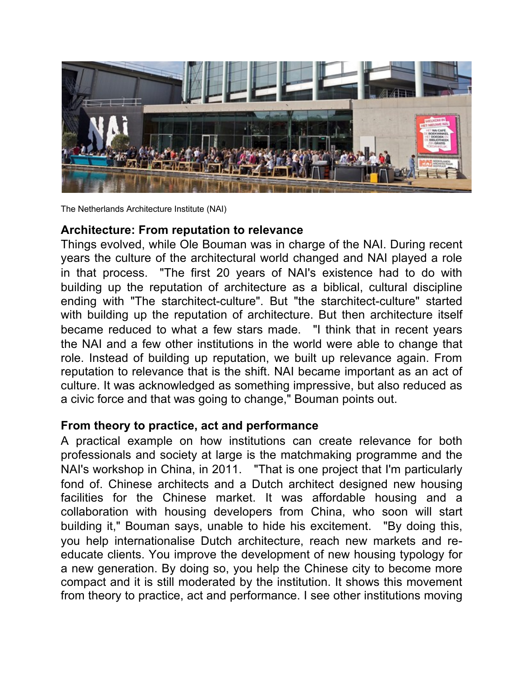

The Netherlands Architecture Institute (NAI)

## **Architecture: From reputation to relevance**

Things evolved, while Ole Bouman was in charge of the NAI. During recent years the culture of the architectural world changed and NAI played a role in that process. "The first 20 years of NAI's existence had to do with building up the reputation of architecture as a biblical, cultural discipline ending with "The starchitect-culture". But "the starchitect-culture" started with building up the reputation of architecture. But then architecture itself became reduced to what a few stars made. "I think that in recent years the NAI and a few other institutions in the world were able to change that role. Instead of building up reputation, we built up relevance again. From reputation to relevance that is the shift. NAI became important as an act of culture. It was acknowledged as something impressive, but also reduced as a civic force and that was going to change," Bouman points out.

## **From theory to practice, act and performance**

A practical example on how institutions can create relevance for both professionals and society at large is the matchmaking programme and the NAI's workshop in China, in 2011. "That is one project that I'm particularly fond of. Chinese architects and a Dutch architect designed new housing facilities for the Chinese market. It was affordable housing and a collaboration with housing developers from China, who soon will start building it," Bouman says, unable to hide his excitement. "By doing this, you help internationalise Dutch architecture, reach new markets and reeducate clients. You improve the development of new housing typology for a new generation. By doing so, you help the Chinese city to become more compact and it is still moderated by the institution. It shows this movement from theory to practice, act and performance. I see other institutions moving